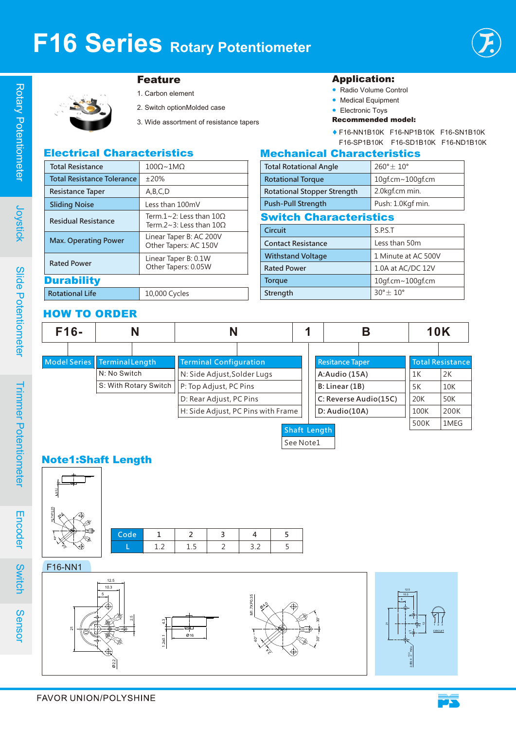

# Joystick

Sensor

# Feature

- 1. Carbon element 2. Switch optionMolded case
- 3. Wide assortment of resistance tapers

#### Application:

- Radio Volume Control
- Medical Equipment
- Electronic Toys
- Recommended model:
- ♦ F16-NN1B10K F16-NP1B10K F16-SN1B10K F16-SP1B10K F16-SD1B10K F16-ND1B10K

### Electrical Characteristics

| <b>Total Resistance</b>           | $100\Omega \sim 1MO$                                                    |  |  |  |  |
|-----------------------------------|-------------------------------------------------------------------------|--|--|--|--|
| <b>Total Resistance Tolerance</b> | ±20%                                                                    |  |  |  |  |
| <b>Resistance Taper</b>           | A,B,C,D                                                                 |  |  |  |  |
| <b>Sliding Noise</b>              | Less than 100mV                                                         |  |  |  |  |
| <b>Residual Resistance</b>        | Term $1 \sim 2$ : Less than $100$<br>Term $2 \approx 3$ : Less than 100 |  |  |  |  |
| <b>Max. Operating Power</b>       | Linear Taper B: AC 200V<br>Other Tapers: AC 150V                        |  |  |  |  |
| <b>Rated Power</b>                | Linear Taper B: 0.1W<br>Other Tapers: 0.05W                             |  |  |  |  |
| <b>Durability</b>                 |                                                                         |  |  |  |  |
| <b>Rotational Life</b>            | 10,000 Cycles                                                           |  |  |  |  |

# Mechanical Characteristics

| <b>Total Rotational Angle</b>      | $260^{\circ}$ $\pm$ 10° |  |  |  |  |  |
|------------------------------------|-------------------------|--|--|--|--|--|
| <b>Rotational Torque</b>           | 10gf.cm~100gf.cm        |  |  |  |  |  |
| <b>Rotational Stopper Strength</b> | 2.0kgf.cm min.          |  |  |  |  |  |
| <b>Push-Pull Strength</b>          | Push: 1.0Kgf min.       |  |  |  |  |  |
| <b>Switch Characteristics</b>      |                         |  |  |  |  |  |
| Circuit                            | SPST                    |  |  |  |  |  |

| <b>Circuit</b>            | J.F.J. I                |
|---------------------------|-------------------------|
| <b>Contact Resistance</b> | Less than 50m           |
| <b>Withstand Voltage</b>  | 1 Minute at AC 500V     |
| <b>Rated Power</b>        | 1.0A at AC/DC 12V       |
| <b>Torque</b>             | 10gf.cm~100gf.cm        |
| Strength                  | $30^\circ \pm 10^\circ$ |
|                           |                         |

### HOW TO ORDER

| $F16-$ |  |                                    |                       |                               |  | Β             |                        | <b>10K</b>            |      |                         |
|--------|--|------------------------------------|-----------------------|-------------------------------|--|---------------|------------------------|-----------------------|------|-------------------------|
|        |  |                                    |                       |                               |  |               |                        |                       |      |                         |
|        |  | Model Series   Terminal Length     |                       | <b>Terminal Configuration</b> |  |               | <b>Resitance Taper</b> |                       |      | <b>Total Resistance</b> |
|        |  | N: No Switch                       |                       | N: Side Adjust, Solder Lugs   |  |               | A:Audio (15A)          |                       | 1K   | 2K                      |
|        |  |                                    | S: With Rotary Switch | P: Top Adjust, PC Pins        |  |               | B: Linear (1B)         |                       | 5K   | <b>10K</b>              |
|        |  |                                    |                       | D: Rear Adjust, PC Pins       |  |               |                        | C: Reverse Audio(15C) | 20K  | <b>50K</b>              |
|        |  | H: Side Adjust, PC Pins with Frame |                       |                               |  | D: Audio(10A) |                        | 100K                  | 200K |                         |
|        |  |                                    |                       |                               |  | Shaft Length  |                        |                       | 500K | 1MEG                    |

See Note1

## Note1:Shaft Length



F16-NN1 1 2 3 **∅**4.0 M1.7XP0.35  $\frac{2}{5}$ 40°  $30^\circ$   $-1^\circ$ **CIRCUIT** 10.3 12.5 5 **∅**16  $1.2\pm0.1$   $4.3$ 지 **∅**2.2  $\frac{5}{2}$ 10.3 12.5 5  $\overline{\mathbf{z}}$ 2-**∅**2.4  $rac{2}{9}$ -0 Hole  $\approx$  $\frac{1}{3}$